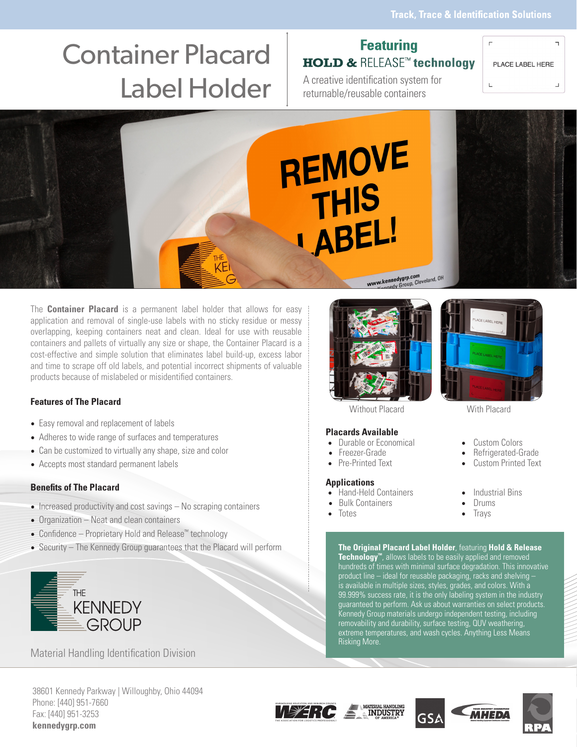# Container Placard Label Holder | A creative identification system for

## **Featuring HOLD & RELEASE<sup>™</sup> technology**

PLACE LABEL HERE

returnable/reusable containers

L  $\sqcup$ 

 $\overline{\phantom{a}}$ 



The **Container Placard** is a permanent label holder that allows for easy application and removal of single-use labels with no sticky residue or messy overlapping, keeping containers neat and clean. Ideal for use with reusable containers and pallets of virtually any size or shape, the Container Placard is a cost-effective and simple solution that eliminates label build-up, excess labor and time to scrape off old labels, and potential incorrect shipments of valuable products because of mislabeled or misidentified containers.

### **Features of The Placard**

- Easy removal and replacement of labels
- Adheres to wide range of surfaces and temperatures
- Can be customized to virtually any shape, size and color
- Accepts most standard permanent labels

### **Benefits of The Placard**

- Increased productivity and cost savings No scraping containers
- Organization Neat and clean containers
- Confidence Proprietary Hold and Release™ technology
- Security The Kennedy Group guarantees that the Placard will perform



Phone: [440] 951-7660 Fax: [440] 951-3253 **kennedygrp.com**

Material Handling Identification Division



Without Placard With Placard

### **Placards Available**

- 
- -

### **Applications**

- 
- 
- Totes Trays



- 
- Freezer-Grade Refrigerated-Grade
	- Custom Printed Text
	-
	-
	-

**The Original Placard Label Holder**, featuring **Hold & Release Technology™**, allows labels to be easily applied and removed hundreds of times with minimal surface degradation. This innovative product line – ideal for reusable packaging, racks and shelving – is available in multiple sizes, styles, grades, and colors. With a 99.999% success rate, it is the only labeling system in the industry guaranteed to perform. Ask us about warranties on select products. Kennedy Group materials undergo independent testing, including removability and durability, surface testing, QUV weathering, extreme temperatures, and wash cycles. Anything Less Means Risking More.









- 
- Durable or Economical Custom Colors<br>• Freezer-Grade Refrigerated-G
- 
- 

- Hand-Held Containers Industrial Bins<br>• Bulk Containers • Drums
- **Facult Containers** Drums<br> **•** Drums<br> **•** Trays
-